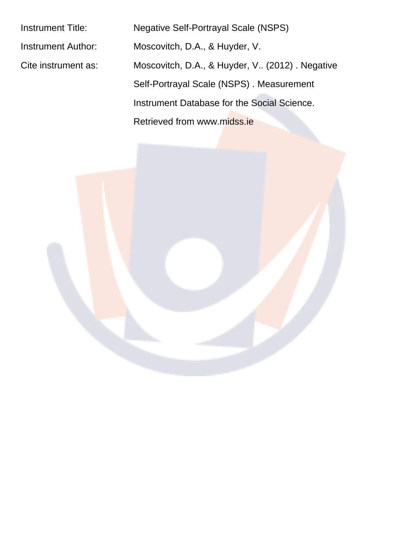Instrument Title: Negative Self-Portrayal Scale (NSPS) Instrument Author: Moscovitch, D.A., & Huyder, V. Cite instrument as: Moscovitch, D.A., & Huyder, V.. (2012) . Negative Self-Portrayal Scale (NSPS) . Measurement Instrument Database for the Social Science. Retrieved from www.midss.ie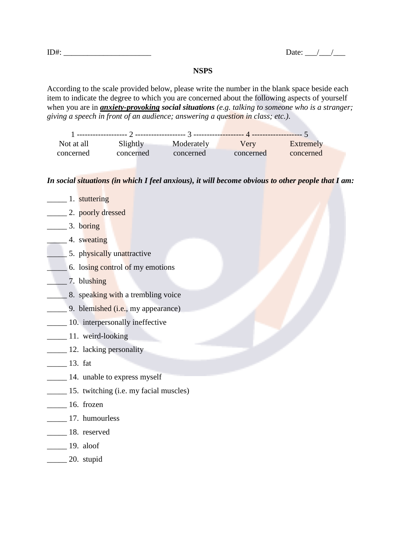$ID#:$   $Date:$   $\qquad \qquad$   $Date:$   $\qquad \qquad$   $\qquad \qquad$ 

**NSPS**

According to the scale provided below, please write the number in the blank space beside each item to indicate the degree to which you are concerned about the following aspects of yourself when you are in *anxiety-provoking social situations (e.g. talking to someone who is a stranger; giving a speech in front of an audience; answering a question in class; etc.)*.

| Not at all | Slightly  | Moderately | Verv      | Extremely |
|------------|-----------|------------|-----------|-----------|
| concerned  | concerned | concerned  | concerned | concerned |

*In social situations (in which I feel anxious), it will become obvious to other people that I am:*

| _______ 1. stuttering                  |
|----------------------------------------|
| 2. poorly dressed                      |
|                                        |
| 4. sweating                            |
| 5. physically unattractive             |
| 6. losing control of my emotions       |
| 7. blushing                            |
| 8. speaking with a trembling voice     |
| 9. blemished (i.e., my appearance)     |
| 10. interpersonally ineffective        |
| 11. weird-looking                      |
|                                        |
| 12. lacking personality                |
| $\frac{13}{13}$ . fat                  |
| 14. unable to express myself           |
| 15. twitching (i.e. my facial muscles) |
| 16. frozen                             |
| 17. humourless                         |
| 18. reserved                           |
| ______ 19. aloof                       |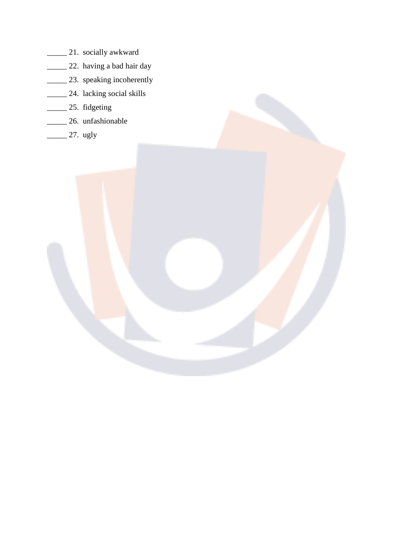- \_\_\_\_\_ 21. socially awkward
- \_\_\_\_\_ 22. having a bad hair day
- \_\_\_\_\_ 23. speaking incoherently
- **\_\_\_\_** 24. lacking social skills
- \_\_\_\_\_ 25. fidgeting
- \_\_\_\_\_ 26. unfashionable
- $\frac{27}{10}$  ugly